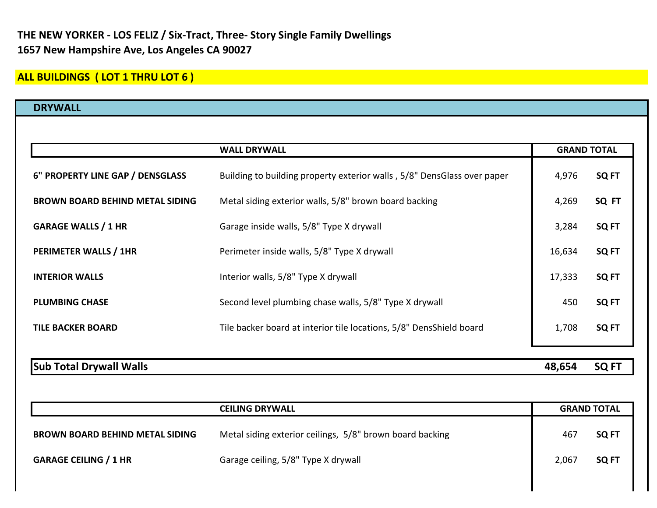## **ALL BUILDINGS ( LOT 1 THRU LOT 6 )**

| <b>DRYWALL</b>                         |                                                                         |                    |                  |
|----------------------------------------|-------------------------------------------------------------------------|--------------------|------------------|
|                                        |                                                                         |                    |                  |
|                                        | <b>WALL DRYWALL</b>                                                     | <b>GRAND TOTAL</b> |                  |
| 6" PROPERTY LINE GAP / DENSGLASS       | Building to building property exterior walls, 5/8" DensGlass over paper | 4,976              | SQ <sub>FT</sub> |
| <b>BROWN BOARD BEHIND METAL SIDING</b> | Metal siding exterior walls, 5/8" brown board backing                   | 4,269              | SQ FT            |
| <b>GARAGE WALLS / 1 HR</b>             | Garage inside walls, 5/8" Type X drywall                                | 3,284              | SQ FT            |
| PERIMETER WALLS / 1HR                  | Perimeter inside walls, 5/8" Type X drywall                             | 16,634             | SQ FT            |
| <b>INTERIOR WALLS</b>                  | Interior walls, 5/8" Type X drywall                                     | 17,333             | SQ <sub>FT</sub> |
| <b>PLUMBING CHASE</b>                  | Second level plumbing chase walls, 5/8" Type X drywall                  | 450                | SQ <sub>FT</sub> |
| <b>TILE BACKER BOARD</b>               | Tile backer board at interior tile locations, 5/8" DensShield board     | 1,708              | SQ FT            |
| <b>Sub Total Drywall Walls</b>         |                                                                         | 48,654             | SQ <sub>FT</sub> |

|                                        | <b>CEILING DRYWALL</b>                                   | <b>GRAND TOTAL</b> |       |
|----------------------------------------|----------------------------------------------------------|--------------------|-------|
| <b>BROWN BOARD BEHIND METAL SIDING</b> | Metal siding exterior ceilings, 5/8" brown board backing | 467                | SQ FT |
| <b>GARAGE CEILING / 1 HR</b>           | Garage ceiling, 5/8" Type X drywall                      | 2,067              | SQ FT |
|                                        |                                                          |                    |       |